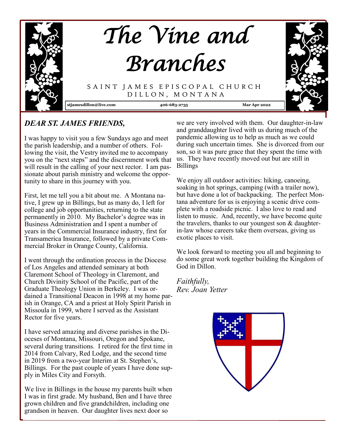

## *DEAR ST. JAMES FRIENDS,*

I was happy to visit you a few Sundays ago and meet the parish leadership, and a number of others. Following the visit, the Vestry invited me to accompany you on the "next steps" and the discernment work that will result in the calling of your next rector. I am passionate about parish ministry and welcome the opportunity to share in this journey with you.

First, let me tell you a bit about me. A Montana native, I grew up in Billings, but as many do, I left for college and job opportunities, returning to the state permanently in 2010. My Bachelor's degree was in Business Administration and I spent a number of years in the Commercial Insurance industry, first for Transamerica Insurance, followed by a private Commercial Broker in Orange County, California.

I went through the ordination process in the Diocese of Los Angeles and attended seminary at both Claremont School of Theology in Claremont, and Church Divinity School of the Pacific, part of the Graduate Theology Union in Berkeley. I was ordained a Transitional Deacon in 1998 at my home parish in Orange, CA and a priest at Holy Spirit Parish in Missoula in 1999, where I served as the Assistant Rector for five years.

I have served amazing and diverse parishes in the Dioceses of Montana, Missouri, Oregon and Spokane, several during transitions. I retired for the first time in 2014 from Calvary, Red Lodge, and the second time in 2019 from a two-year Interim at St. Stephen's, Billings. For the past couple of years I have done supply in Miles City and Forsyth.

We live in Billings in the house my parents built when I was in first grade. My husband, Ben and I have three grown children and five grandchildren, including one grandson in heaven. Our daughter lives next door so

we are very involved with them. Our daughter-in-law and granddaughter lived with us during much of the pandemic allowing us to help as much as we could during such uncertain times. She is divorced from our son, so it was pure grace that they spent the time with us. They have recently moved out but are still in Billings

We enjoy all outdoor activities: hiking, canoeing, soaking in hot springs, camping (with a trailer now), but have done a lot of backpacking. The perfect Montana adventure for us is enjoying a scenic drive complete with a roadside picnic. I also love to read and listen to music. And, recently, we have become quite the travelers, thanks to our youngest son & daughterin-law whose careers take them overseas, giving us exotic places to visit.

We look forward to meeting you all and beginning to do some great work together building the Kingdom of God in Dillon.

*Faithfully, Rev. Joan Yetter*

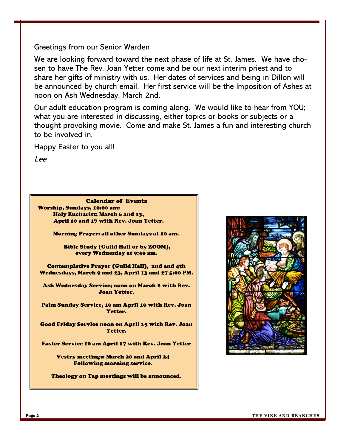## Greetings from our Senior Warden

We are looking forward toward the next phase of life at St. James. We have chosen to have The Rev. Joan Yetter come and be our next interim priest and to share her gifts of ministry with us. Her dates of services and being in Dillon will be announced by church email. Her first service will be the Imposition of Ashes at noon on Ash Wednesday, March 2nd.

Our adult education program is coming along. We would like to hear from YOU; what you are interested in discussing, either topics or books or subjects or a thought provoking movie. Come and make St. James a fun and interesting church to be involved in.

Happy Easter to you all!

Lee

Calendar of Events Worship, Sundays, 10:00 am: Holy Eucharist; March 6 and 13, April 10 and 17 with Rev. Joan Yetter.

Morning Prayer: all other Sundays at 10 am.

Bible Study (Guild Hall or by ZOOM), every Wednesday at 9:30 am.

Contemplative Prayer (Guild Hall), 2nd and 4th Wednesdays, March 9 and 23, April 13 and 27 5:00 PM.

Ash Wednesday Service; noon on March 2 with Rev. Joan Yetter.

Palm Sunday Service, 10 am April 10 with Rev. Joan Yetter.

Good Friday Service noon on April 15 with Rev. Joan Yetter.

Easter Service 10 am April 17 with Rev. Joan Yetter

Vestry meetings: March 20 and April 24 Following morning service.

Theology on Tap meetings will be announced.

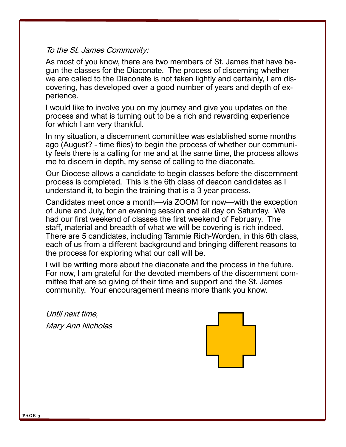## To the St. James Community:

As most of you know, there are two members of St. James that have begun the classes for the Diaconate. The process of discerning whether we are called to the Diaconate is not taken lightly and certainly, I am discovering, has developed over a good number of years and depth of experience.

I would like to involve you on my journey and give you updates on the process and what is turning out to be a rich and rewarding experience for which I am very thankful.

In my situation, a discernment committee was established some months ago (August? - time flies) to begin the process of whether our community feels there is a calling for me and at the same time, the process allows me to discern in depth, my sense of calling to the diaconate.

Our Diocese allows a candidate to begin classes before the discernment process is completed. This is the 6th class of deacon candidates as I understand it, to begin the training that is a 3 year process.

Candidates meet once a month—via ZOOM for now—with the exception of June and July, for an evening session and all day on Saturday. We had our first weekend of classes the first weekend of February. The staff, material and breadth of what we will be covering is rich indeed. There are 5 candidates, including Tammie Rich-Worden, in this 6th class, each of us from a different background and bringing different reasons to the process for exploring what our call will be.

I will be writing more about the diaconate and the process in the future. For now, I am grateful for the devoted members of the discernment committee that are so giving of their time and support and the St. James community. Your encouragement means more thank you know.

Until next time, Mary Ann Nicholas